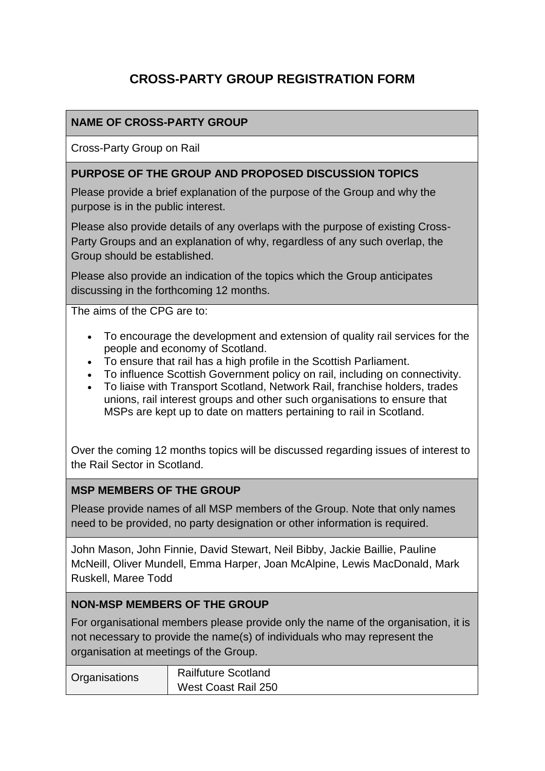# **CROSS-PARTY GROUP REGISTRATION FORM**

## **NAME OF CROSS-PARTY GROUP**

Cross-Party Group on Rail

#### **PURPOSE OF THE GROUP AND PROPOSED DISCUSSION TOPICS**

Please provide a brief explanation of the purpose of the Group and why the purpose is in the public interest.

Please also provide details of any overlaps with the purpose of existing Cross-Party Groups and an explanation of why, regardless of any such overlap, the Group should be established.

Please also provide an indication of the topics which the Group anticipates discussing in the forthcoming 12 months.

The aims of the CPG are to:

- To encourage the development and extension of quality rail services for the people and economy of Scotland.
- To ensure that rail has a high profile in the Scottish Parliament.
- To influence Scottish Government policy on rail, including on connectivity.
- To liaise with Transport Scotland, Network Rail, franchise holders, trades unions, rail interest groups and other such organisations to ensure that MSPs are kept up to date on matters pertaining to rail in Scotland.

Over the coming 12 months topics will be discussed regarding issues of interest to the Rail Sector in Scotland.

#### **MSP MEMBERS OF THE GROUP**

Please provide names of all MSP members of the Group. Note that only names need to be provided, no party designation or other information is required.

John Mason, John Finnie, David Stewart, Neil Bibby, Jackie Baillie, Pauline McNeill, Oliver Mundell, Emma Harper, Joan McAlpine, Lewis MacDonald, Mark Ruskell, Maree Todd

#### **NON-MSP MEMBERS OF THE GROUP**

For organisational members please provide only the name of the organisation, it is not necessary to provide the name(s) of individuals who may represent the organisation at meetings of the Group.

| Organisations | <b>Railfuture Scotland</b> |
|---------------|----------------------------|
|               | West Coast Rail 250        |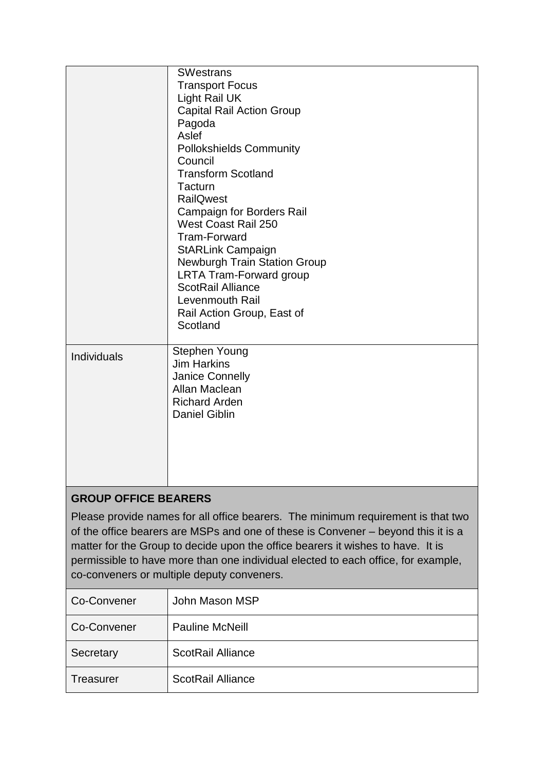|                                                                        | <b>SWestrans</b><br><b>Transport Focus</b><br>Light Rail UK<br><b>Capital Rail Action Group</b><br>Pagoda<br>Aslef<br><b>Pollokshields Community</b><br>Council<br><b>Transform Scotland</b><br>Tacturn<br><b>RailQwest</b><br><b>Campaign for Borders Rail</b><br>West Coast Rail 250<br><b>Tram-Forward</b><br><b>StARLink Campaign</b><br><b>Newburgh Train Station Group</b><br><b>LRTA Tram-Forward group</b><br><b>ScotRail Alliance</b><br>Levenmouth Rail<br>Rail Action Group, East of<br>Scotland |  |
|------------------------------------------------------------------------|-------------------------------------------------------------------------------------------------------------------------------------------------------------------------------------------------------------------------------------------------------------------------------------------------------------------------------------------------------------------------------------------------------------------------------------------------------------------------------------------------------------|--|
| <b>Individuals</b>                                                     | Stephen Young<br><b>Jim Harkins</b><br>Janice Connelly<br>Allan Maclean<br><b>Richard Arden</b><br><b>Daniel Giblin</b>                                                                                                                                                                                                                                                                                                                                                                                     |  |
| <b>GROUP OFFICE BEARERS</b><br>$\epsilon$<br>$\mathbf{u}$ $\mathbf{v}$ |                                                                                                                                                                                                                                                                                                                                                                                                                                                                                                             |  |

Please provide names for all office bearers. The minimum requirement is that two of the office bearers are MSPs and one of these is Convener – beyond this it is a matter for the Group to decide upon the office bearers it wishes to have. It is permissible to have more than one individual elected to each office, for example, co-conveners or multiple deputy conveners.

| Co-Convener      | John Mason MSP           |
|------------------|--------------------------|
| Co-Convener      | <b>Pauline McNeill</b>   |
| Secretary        | <b>ScotRail Alliance</b> |
| <b>Treasurer</b> | <b>ScotRail Alliance</b> |